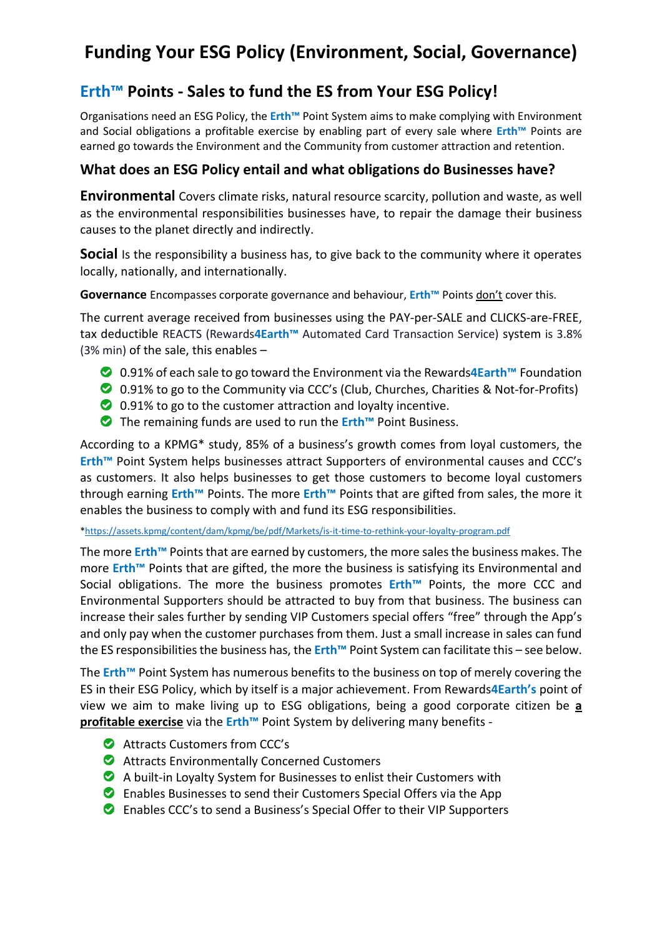## **Funding Your ESG Policy (Environment, Social, Governance)**

## **Erth™ Points - Sales to fund the ES from Your ESG Policy!**

Organisations need an ESG Policy, the **Erth™** Point System aims to make complying with Environment and Social obligations a profitable exercise by enabling part of every sale where **Erth™** Points are earned go towards the Environment and the Community from customer attraction and retention.

## **What does an ESG Policy entail and what obligations do Businesses have?**

**Environmental** Covers climate risks, natural resource scarcity, pollution and waste, as well as the environmental responsibilities businesses have, to repair the damage their business causes to the planet directly and indirectly.

**Social** Is the responsibility a business has, to give back to the community where it operates locally, nationally, and internationally.

**Governance** Encompasses corporate governance and behaviour, **Erth™** Points don't cover this.

The current average received from businesses using the PAY-per-SALE and CLICKS-are-FREE, tax deductible REACTS (Rewards**4Earth™** Automated Card Transaction Service) system is 3.8% (3% min) of the sale, this enables –

- 0.91% of each sale to go toward the Environment via the Rewards**4Earth™** Foundation
- 0.91% to go to the Community via CCC's (Club, Churches, Charities & Not-for-Profits)
- **2** 0.91% to go to the customer attraction and loyalty incentive.
- The remaining funds are used to run the **Erth™** Point Business.

According to a KPMG\* study, 85% of a business's growth comes from loyal customers, the **Erth™** Point System helps businesses attract Supporters of environmental causes and CCC's as customers. It also helps businesses to get those customers to become loyal customers through earning **Erth™** Points. The more **Erth™** Points that are gifted from sales, the more it enables the business to comply with and fund its ESG responsibilities.

[\\*https://assets.kpmg/content/dam/kpmg/be/pdf/Markets/is-it-time-to-rethink-your-loyalty-program.pdf](https://assets.kpmg/content/dam/kpmg/be/pdf/Markets/is-it-time-to-rethink-your-loyalty-program.pdf)

The more **Erth™** Points that are earned by customers, the more sales the business makes. The more **Erth™** Points that are gifted, the more the business is satisfying its Environmental and Social obligations. The more the business promotes **Erth™** Points, the more CCC and Environmental Supporters should be attracted to buy from that business. The business can increase their sales further by sending VIP Customers special offers "free" through the App's and only pay when the customer purchases from them. Just a small increase in sales can fund the ES responsibilities the business has, the **Erth™** Point System can facilitate this – see below.

The **Erth™** Point System has numerous benefits to the business on top of merely covering the ES in their ESG Policy, which by itself is a major achievement. From Rewards**4Earth's** point of view we aim to make living up to ESG obligations, being a good corporate citizen be **a profitable exercise** via the **Erth™** Point System by delivering many benefits -

- **Attracts Customers from CCC's**
- Attracts Environmentally Concerned Customers
- A built-in Loyalty System for Businesses to enlist their Customers with
- Enables Businesses to send their Customers Special Offers via the App
- Enables CCC's to send a Business's Special Offer to their VIP Supporters